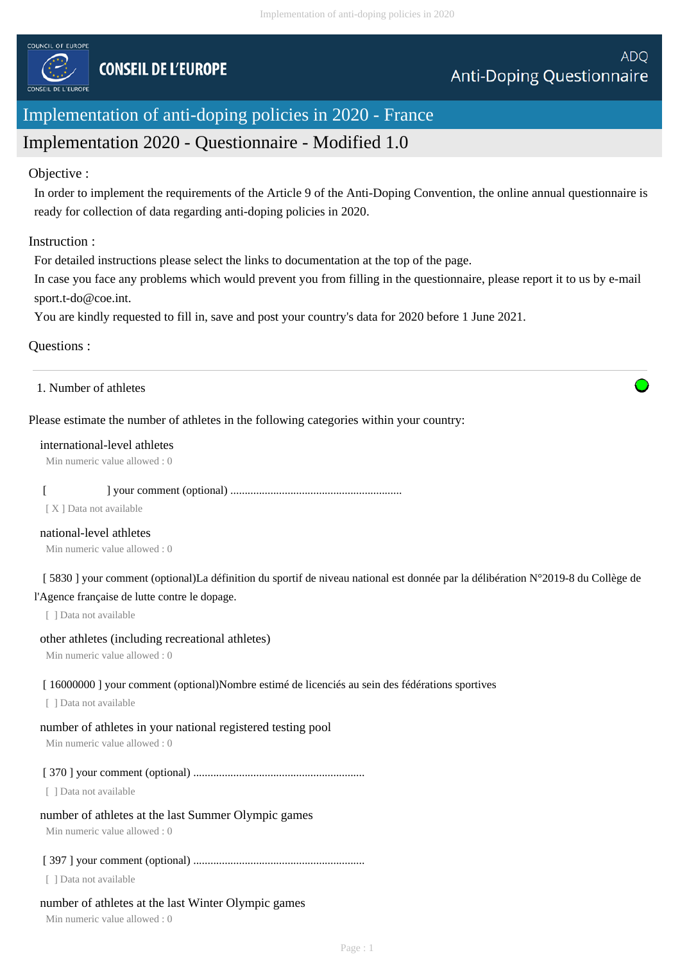

# Implementation of anti-doping policies in 2020 - France

# Implementation 2020 - Questionnaire - Modified 1.0

# Objective :

In order to implement the requirements of the Article 9 of the Anti-Doping Convention, the online annual questionnaire is ready for collection of data regarding anti-doping policies in 2020.

# Instruction :

For detailed instructions please select the links to documentation at the top of the page.

In case you face any problems which would prevent you from filling in the questionnaire, please report it to us by e-mail sport.t-do@coe.int.

You are kindly requested to fill in, save and post your country's data for 2020 before 1 June 2021.

# Questions :

1. Number of athletes

Please estimate the number of athletes in the following categories within your country:

## international-level athletes

Min numeric value allowed : 0

# [ ] your comment (optional) ............................................................

[ X ] Data not available

#### national-level athletes

Min numeric value allowed : 0

 [ 5830 ] your comment (optional)La définition du sportif de niveau national est donnée par la délibération N°2019-8 du Collège de l'Agence française de lutte contre le dopage.

[ ] Data not available

# other athletes (including recreational athletes)

Min numeric value allowed : 0

#### [ 16000000 ] your comment (optional)Nombre estimé de licenciés au sein des fédérations sportives

[ ] Data not available

# number of athletes in your national registered testing pool

Min numeric value allowed : 0

# [ 370 ] your comment (optional) ............................................................

[ ] Data not available

#### number of athletes at the last Summer Olympic games

Min numeric value allowed : 0

# [ 397 ] your comment (optional) ............................................................

[ ] Data not available

# number of athletes at the last Winter Olympic games

Min numeric value allowed : 0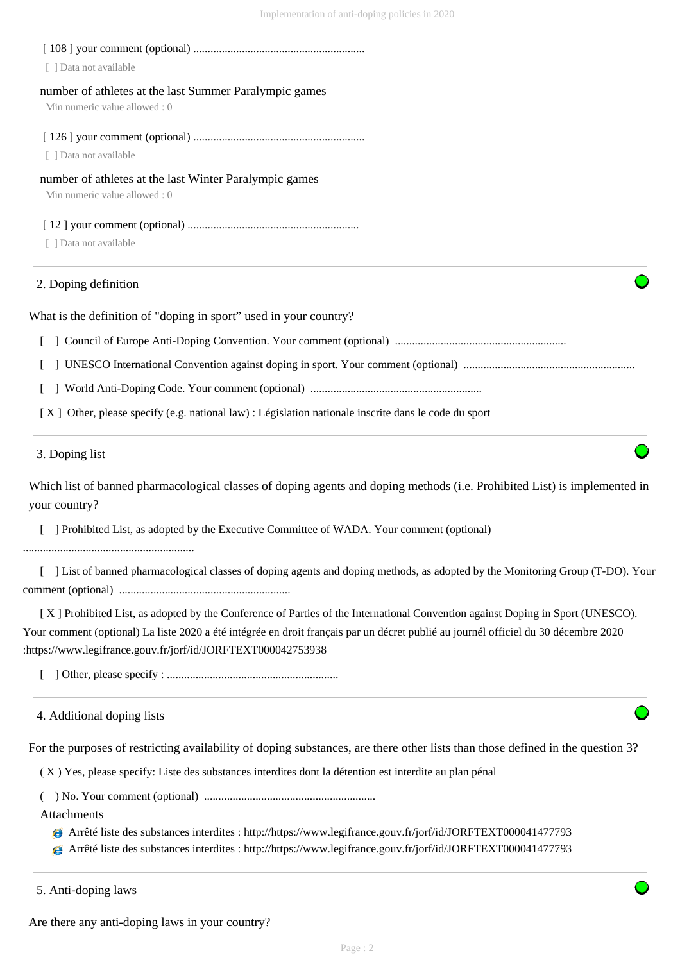| [ ] Data not available                                                                  |  |
|-----------------------------------------------------------------------------------------|--|
| number of athletes at the last Summer Paralympic games<br>Min numeric value allowed : 0 |  |
| [ ] Data not available                                                                  |  |
| number of athletes at the last Winter Paralympic games<br>Min numeric value allowed : 0 |  |
| [ ] Data not available                                                                  |  |
| 2. Doping definition                                                                    |  |

What is the definition of "doping in sport" used in your country?

[ ] Council of Europe Anti-Doping Convention. Your comment (optional) ............................................................

[ ] UNESCO International Convention against doping in sport. Your comment (optional) ............................................................

[ ] World Anti-Doping Code. Your comment (optional) ............................................................

[ X ] Other, please specify (e.g. national law) : Législation nationale inscrite dans le code du sport

# 3. Doping list

Which list of banned pharmacological classes of doping agents and doping methods (i.e. Prohibited List) is implemented in your country?

[ ] Prohibited List, as adopted by the Executive Committee of WADA. Your comment (optional)

............................................................

 [ ] List of banned pharmacological classes of doping agents and doping methods, as adopted by the Monitoring Group (T-DO). Your comment (optional) ............................................................

 [ X ] Prohibited List, as adopted by the Conference of Parties of the International Convention against Doping in Sport (UNESCO). Your comment (optional) La liste 2020 a été intégrée en droit français par un décret publié au journél officiel du 30 décembre 2020 :https://www.legifrance.gouv.fr/jorf/id/JORFTEXT000042753938

[ ] Other, please specify : ............................................................

4. Additional doping lists

For the purposes of restricting availability of doping substances, are there other lists than those defined in the question 3?

( X ) Yes, please specify: Liste des substances interdites dont la détention est interdite au plan pénal

( ) No. Your comment (optional) ............................................................

Attachments

Arrêté liste des substances interdites : http://https://www.legifrance.gouv.fr/jorf/id/JORFTEXT000041477793

Arrêté liste des substances interdites : http://https://www.legifrance.gouv.fr/jorf/id/JORFTEXT000041477793

5. Anti-doping laws

Are there any anti-doping laws in your country?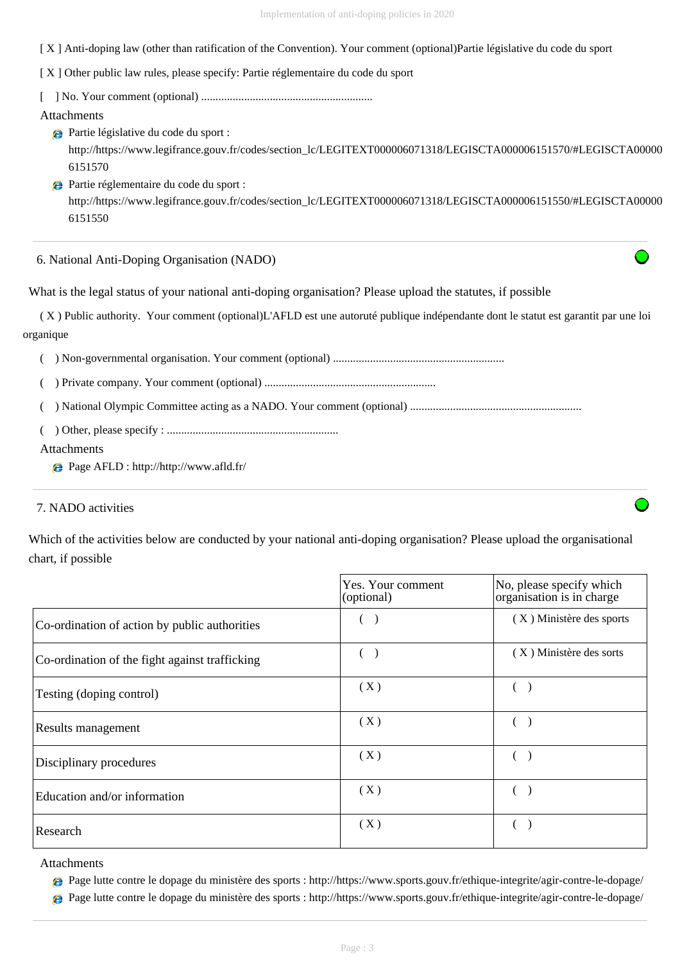[ X ] Anti-doping law (other than ratification of the Convention). Your comment (optional)Partie législative du code du sport

[X] Other public law rules, please specify: Partie réglementaire du code du sport

[ ] No. Your comment (optional) ............................................................

Attachments

Partie législative du code du sport : http://https://www.legifrance.gouv.fr/codes/section\_lc/LEGITEXT000006071318/LEGISCTA000006151570/#LEGISCTA00000 6151570

Partie réglementaire du code du sport : http://https://www.legifrance.gouv.fr/codes/section\_lc/LEGITEXT000006071318/LEGISCTA000006151550/#LEGISCTA00000 6151550

6. National Anti-Doping Organisation (NADO)

What is the legal status of your national anti-doping organisation? Please upload the statutes, if possible

 ( X ) Public authority. Your comment (optional)L'AFLD est une autoruté publique indépendante dont le statut est garantit par une loi organique

( ) Non-governmental organisation. Your comment (optional) ............................................................

( ) Private company. Your comment (optional) ............................................................

( ) National Olympic Committee acting as a NADO. Your comment (optional) ............................................................

( ) Other, please specify : ............................................................

## Attachments

Page AFLD : http://http://www.afld.fr/

# 7. NADO activities

Which of the activities below are conducted by your national anti-doping organisation? Please upload the organisational chart, if possible

|                                                | Yes. Your comment<br>(optional) | No, please specify which<br>organisation is in charge |
|------------------------------------------------|---------------------------------|-------------------------------------------------------|
| Co-ordination of action by public authorities  |                                 | (X) Ministère des sports                              |
| Co-ordination of the fight against trafficking |                                 | (X) Ministère des sorts                               |
| Testing (doping control)                       | (X)                             |                                                       |
| <b>Results management</b>                      | (X)                             |                                                       |
| Disciplinary procedures                        | (X)                             |                                                       |
| Education and/or information                   | (X)                             |                                                       |
| Research                                       | (X)                             |                                                       |

Attachments

Page lutte contre le dopage du ministère des sports : http://https://www.sports.gouv.fr/ethique-integrite/agir-contre-le-dopage/

Page lutte contre le dopage du ministère des sports : http://https://www.sports.gouv.fr/ethique-integrite/agir-contre-le-dopage/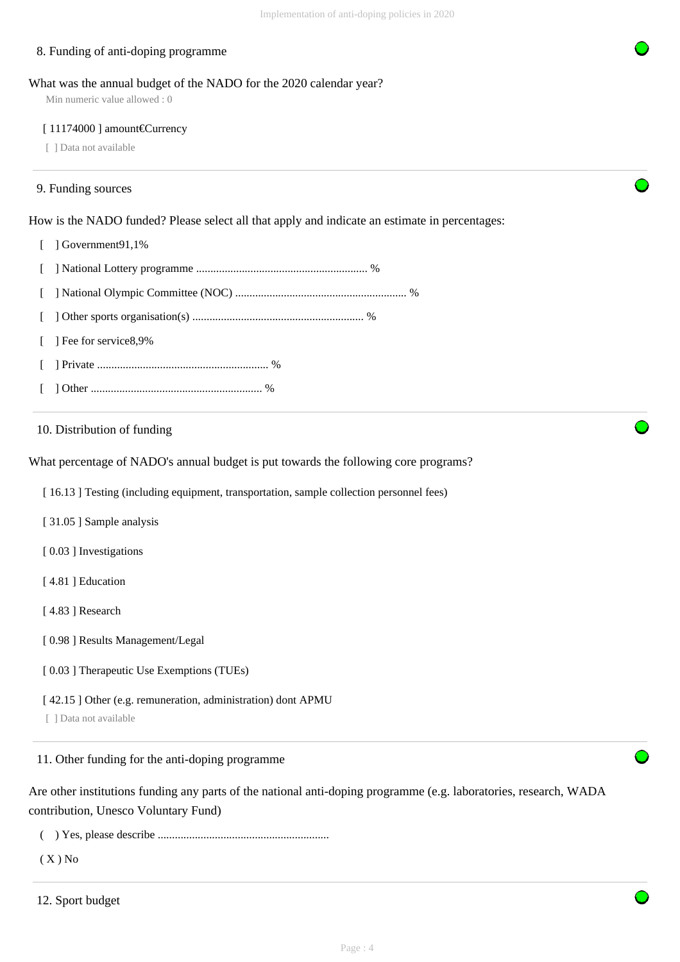# 8. Funding of anti-doping programme

#### What was the annual budget of the NADO for the 2020 calendar year?

Min numeric value allowed : 0

#### [ 11174000 ] amount€Currency

[ ] Data not available

# 9. Funding sources

How is the NADO funded? Please select all that apply and indicate an estimate in percentages:

[ ] Government91,1%

|  | [ ] Fee for service 8,9% |  |
|--|--------------------------|--|
|  |                          |  |
|  |                          |  |

# 10. Distribution of funding

What percentage of NADO's annual budget is put towards the following core programs?

[ 16.13 ] Testing (including equipment, transportation, sample collection personnel fees)

- [ 31.05 ] Sample analysis
- [ $0.03$ ] Investigations
- [ 4.81 ] Education
- [ 4.83 ] Research
- [ 0.98 ] Results Management/Legal
- [  $0.03$  ] Therapeutic Use Exemptions (TUEs)
- [ 42.15 ] Other (e.g. remuneration, administration) dont APMU

[ ] Data not available

# 11. Other funding for the anti-doping programme

Are other institutions funding any parts of the national anti-doping programme (e.g. laboratories, research, WADA contribution, Unesco Voluntary Fund)

( ) Yes, please describe ............................................................

 $(X)$  No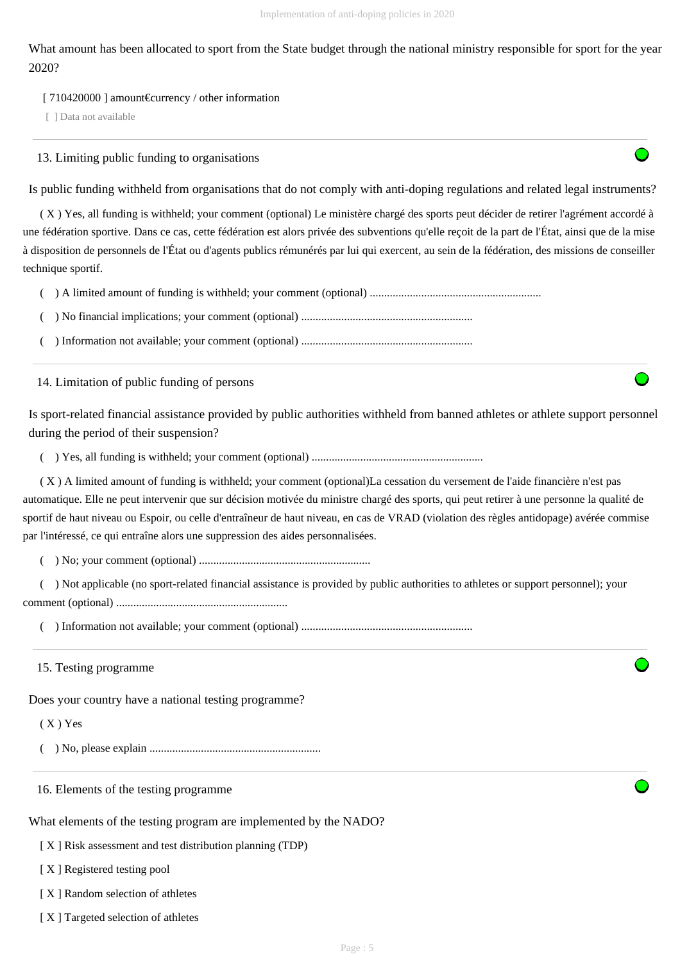What amount has been allocated to sport from the State budget through the national ministry responsible for sport for the year 2020?

#### [ 710420000 ] amount€currency / other information

[ ] Data not available

13. Limiting public funding to organisations

Is public funding withheld from organisations that do not comply with anti-doping regulations and related legal instruments?

 ( X ) Yes, all funding is withheld; your comment (optional) Le ministère chargé des sports peut décider de retirer l'agrément accordé à une fédération sportive. Dans ce cas, cette fédération est alors privée des subventions qu'elle reçoit de la part de l'État, ainsi que de la mise à disposition de personnels de l'État ou d'agents publics rémunérés par lui qui exercent, au sein de la fédération, des missions de conseiller technique sportif.

( ) A limited amount of funding is withheld; your comment (optional) ............................................................

( ) No financial implications; your comment (optional) ............................................................

( ) Information not available; your comment (optional) ............................................................

14. Limitation of public funding of persons

Is sport-related financial assistance provided by public authorities withheld from banned athletes or athlete support personnel during the period of their suspension?

( ) Yes, all funding is withheld; your comment (optional) ............................................................

 ( X ) A limited amount of funding is withheld; your comment (optional)La cessation du versement de l'aide financière n'est pas automatique. Elle ne peut intervenir que sur décision motivée du ministre chargé des sports, qui peut retirer à une personne la qualité de sportif de haut niveau ou Espoir, ou celle d'entraîneur de haut niveau, en cas de VRAD (violation des règles antidopage) avérée commise par l'intéressé, ce qui entraîne alors une suppression des aides personnalisées.

( ) No; your comment (optional) ............................................................

 ( ) Not applicable (no sport-related financial assistance is provided by public authorities to athletes or support personnel); your comment (optional) ............................................................

( ) Information not available; your comment (optional) ............................................................

15. Testing programme

Does your country have a national testing programme?

( X ) Yes

( ) No, please explain ............................................................

16. Elements of the testing programme

What elements of the testing program are implemented by the NADO?

[ X ] Risk assessment and test distribution planning (TDP)

[X] Registered testing pool

[X] Random selection of athletes

[ X ] Targeted selection of athletes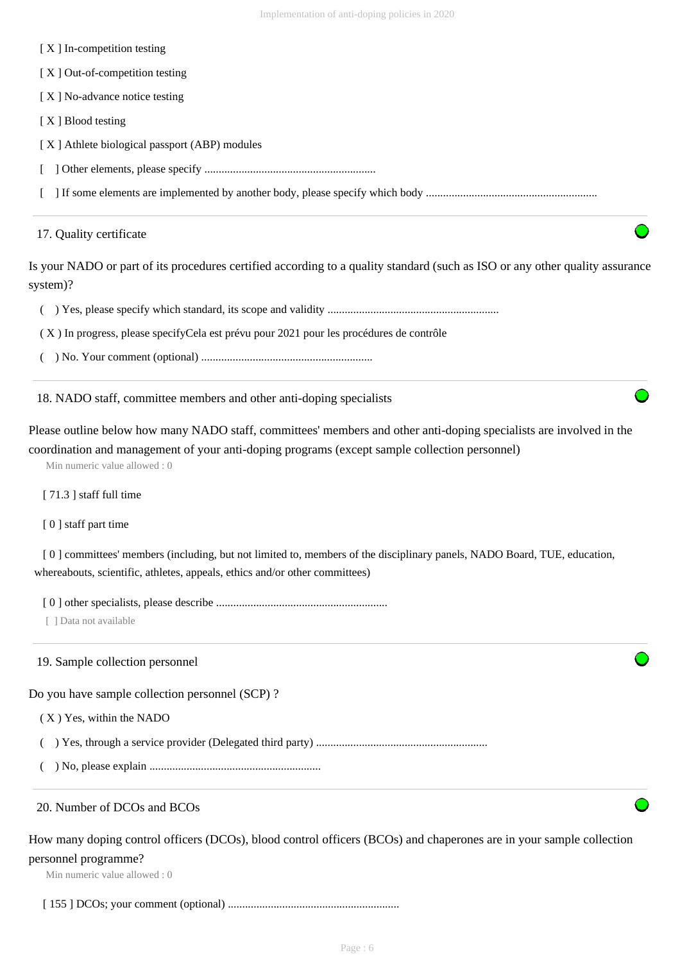[ $X$ ] In-competition testing

[ X ] Out-of-competition testing

[ X ] No-advance notice testing

[ X ] Blood testing

[ X ] Athlete biological passport (ABP) modules

[ ] Other elements, please specify ............................................................

[ ] If some elements are implemented by another body, please specify which body ............................................................

#### 17. Quality certificate

Is your NADO or part of its procedures certified according to a quality standard (such as ISO or any other quality assurance system)?

( ) Yes, please specify which standard, its scope and validity ............................................................

( X ) In progress, please specifyCela est prévu pour 2021 pour les procédures de contrôle

( ) No. Your comment (optional) ............................................................

18. NADO staff, committee members and other anti-doping specialists

Please outline below how many NADO staff, committees' members and other anti-doping specialists are involved in the coordination and management of your anti-doping programs (except sample collection personnel)

Min numeric value allowed : 0

[ 71.3 ] staff full time

[ 0 ] staff part time

 [ 0 ] committees' members (including, but not limited to, members of the disciplinary panels, NADO Board, TUE, education, whereabouts, scientific, athletes, appeals, ethics and/or other committees)

[ 0 ] other specialists, please describe ............................................................

[ ] Data not available

#### 19. Sample collection personnel

Do you have sample collection personnel (SCP) ?

( X ) Yes, within the NADO

( ) Yes, through a service provider (Delegated third party) ............................................................

( ) No, please explain ............................................................

#### 20. Number of DCOs and BCOs

How many doping control officers (DCOs), blood control officers (BCOs) and chaperones are in your sample collection personnel programme?

Min numeric value allowed : 0

[ 155 ] DCOs; your comment (optional) ............................................................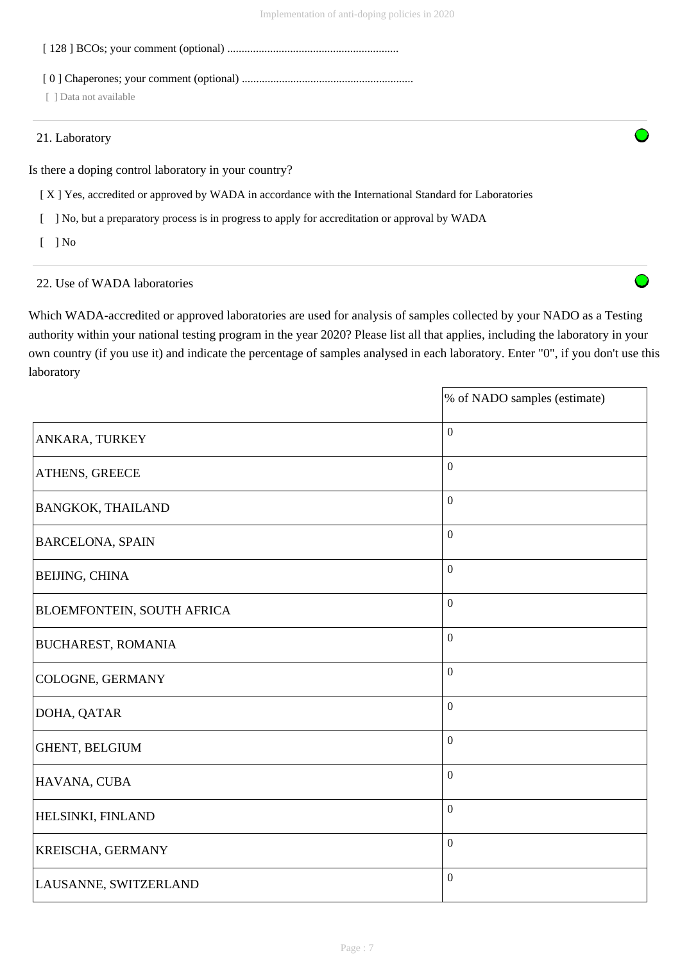[ 128 ] BCOs; your comment (optional) ............................................................

[ 0 ] Chaperones; your comment (optional) ............................................................

[ ] Data not available

#### 21. Laboratory

Is there a doping control laboratory in your country?

- [ X ] Yes, accredited or approved by WADA in accordance with the International Standard for Laboratories
- [ ] No, but a preparatory process is in progress to apply for accreditation or approval by WADA
- [ ] No

# 22. Use of WADA laboratories

Which WADA-accredited or approved laboratories are used for analysis of samples collected by your NADO as a Testing authority within your national testing program in the year 2020? Please list all that applies, including the laboratory in your own country (if you use it) and indicate the percentage of samples analysed in each laboratory. Enter "0", if you don't use this laboratory

|                            | % of NADO samples (estimate) |
|----------------------------|------------------------------|
| ANKARA, TURKEY             | $\boldsymbol{0}$             |
| ATHENS, GREECE             | $\boldsymbol{0}$             |
| <b>BANGKOK, THAILAND</b>   | $\mathbf{0}$                 |
| <b>BARCELONA, SPAIN</b>    | $\boldsymbol{0}$             |
| <b>BEIJING, CHINA</b>      | $\mathbf{0}$                 |
| BLOEMFONTEIN, SOUTH AFRICA | $\overline{0}$               |
| <b>BUCHAREST, ROMANIA</b>  | $\boldsymbol{0}$             |
| COLOGNE, GERMANY           | $\mathbf{0}$                 |
| DOHA, QATAR                | $\mathbf{0}$                 |
| GHENT, BELGIUM             | $\overline{0}$               |
| HAVANA, CUBA               | $\mathbf{0}$                 |
| HELSINKI, FINLAND          | $\mathbf{0}$                 |
| KREISCHA, GERMANY          | $\mathbf{0}$                 |
| LAUSANNE, SWITZERLAND      | $\boldsymbol{0}$             |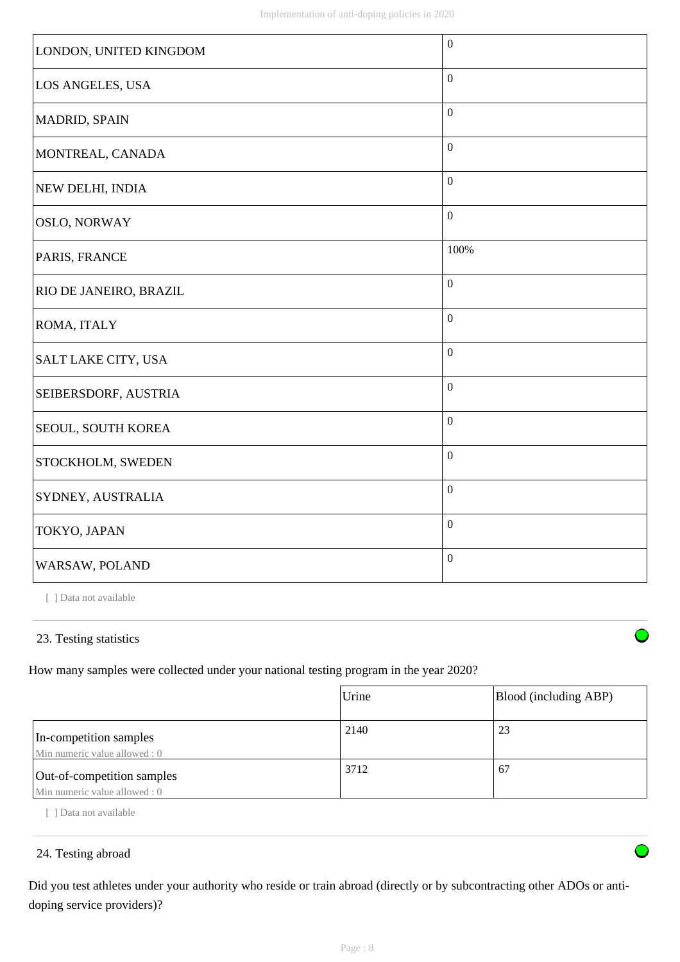| LONDON, UNITED KINGDOM        | $\boldsymbol{0}$ |
|-------------------------------|------------------|
| LOS ANGELES, USA              | $\boldsymbol{0}$ |
| MADRID, SPAIN                 | $\boldsymbol{0}$ |
| MONTREAL, CANADA              | $\boldsymbol{0}$ |
| NEW DELHI, INDIA              | $\boldsymbol{0}$ |
| <b>OSLO, NORWAY</b>           | $\boldsymbol{0}$ |
| PARIS, FRANCE                 | 100%             |
| <b>RIO DE JANEIRO, BRAZIL</b> | $\boldsymbol{0}$ |
| <b>ROMA, ITALY</b>            | $\boldsymbol{0}$ |
| SALT LAKE CITY, USA           | $\boldsymbol{0}$ |
| <b>SEIBERSDORF, AUSTRIA</b>   | $\boldsymbol{0}$ |
| SEOUL, SOUTH KOREA            | $\boldsymbol{0}$ |
| STOCKHOLM, SWEDEN             | $\boldsymbol{0}$ |
| SYDNEY, AUSTRALIA             | $\boldsymbol{0}$ |
| TOKYO, JAPAN                  | $\boldsymbol{0}$ |
| WARSAW, POLAND                | $\boldsymbol{0}$ |

[ ] Data not available

# 23. Testing statistics

How many samples were collected under your national testing program in the year 2020?

|                                                             | Urine | Blood (including ABP) |
|-------------------------------------------------------------|-------|-----------------------|
| In-competition samples<br>Min numeric value allowed: 0      | 2140  | 23                    |
| Out-of-competition samples<br>Min numeric value allowed : 0 | 3712  | 67                    |

[ ] Data not available

# 24. Testing abroad

Did you test athletes under your authority who reside or train abroad (directly or by subcontracting other ADOs or antidoping service providers)?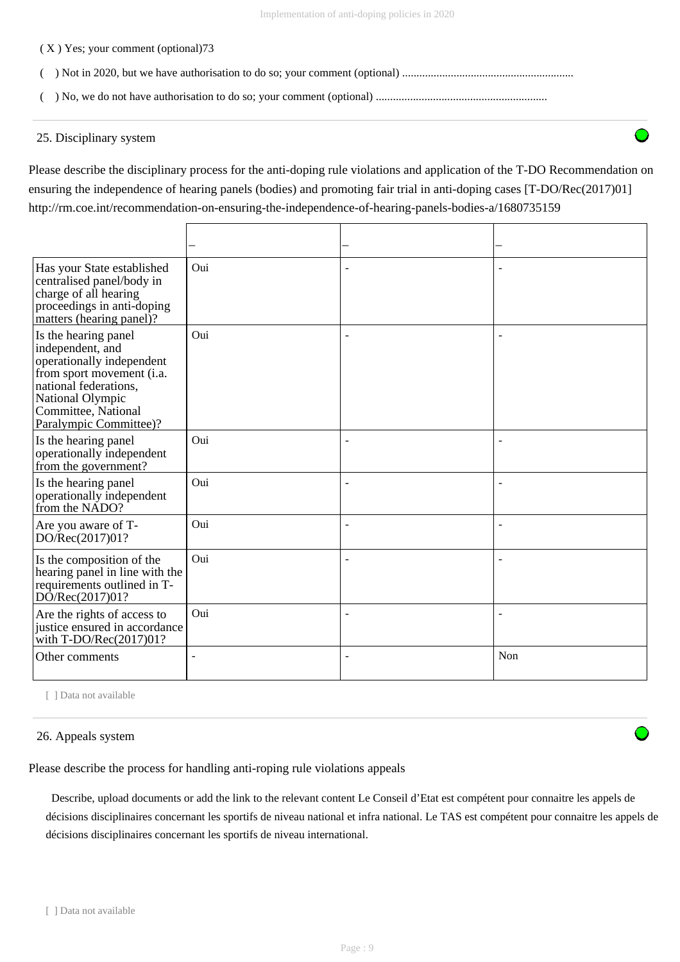#### ( X ) Yes; your comment (optional)73

- ( ) Not in 2020, but we have authorisation to do so; your comment (optional) ............................................................
- ( ) No, we do not have authorisation to do so; your comment (optional) ............................................................

## 25. Disciplinary system

Please describe the disciplinary process for the anti-doping rule violations and application of the T-DO Recommendation on ensuring the independence of hearing panels (bodies) and promoting fair trial in anti-doping cases [T-DO/Rec(2017)01] http://rm.coe.int/recommendation-on-ensuring-the-independence-of-hearing-panels-bodies-a/1680735159

| Has your State established<br>centralised panel/body in<br>charge of all hearing<br>proceedings in anti-doping<br>matters (hearing panel)?                                                       | Oui    | ÷              |                |
|--------------------------------------------------------------------------------------------------------------------------------------------------------------------------------------------------|--------|----------------|----------------|
| Is the hearing panel<br>independent, and<br>operationally independent<br>from sport movement (i.a.<br>national federations,<br>National Olympic<br>Committee, National<br>Paralympic Committee)? | Oui    | ÷              | $\overline{a}$ |
| Is the hearing panel<br>operationally independent<br>from the government?                                                                                                                        | Oui    | $\overline{a}$ |                |
| Is the hearing panel<br>operationally independent<br>from the NADO?                                                                                                                              | Oui    | $\blacksquare$ | $\blacksquare$ |
| Are you aware of T-<br>DO/Rec(2017)01?                                                                                                                                                           | Oui    | L,             |                |
| Is the composition of the<br>hearing panel in line with the<br>requirements outlined in T-<br>DO/Rec(2017)01?                                                                                    | Oui    |                |                |
| Are the rights of access to<br>justice ensured in accordance<br>with $T\text{-DO/Rec}(2017)01?$                                                                                                  | Oui    | L,             |                |
| Other comments                                                                                                                                                                                   | $\sim$ | $\blacksquare$ | Non            |

[ ] Data not available

#### 26. Appeals system

Please describe the process for handling anti-roping rule violations appeals

 Describe, upload documents or add the link to the relevant content Le Conseil d'Etat est compétent pour connaitre les appels de décisions disciplinaires concernant les sportifs de niveau national et infra national. Le TAS est compétent pour connaitre les appels de décisions disciplinaires concernant les sportifs de niveau international.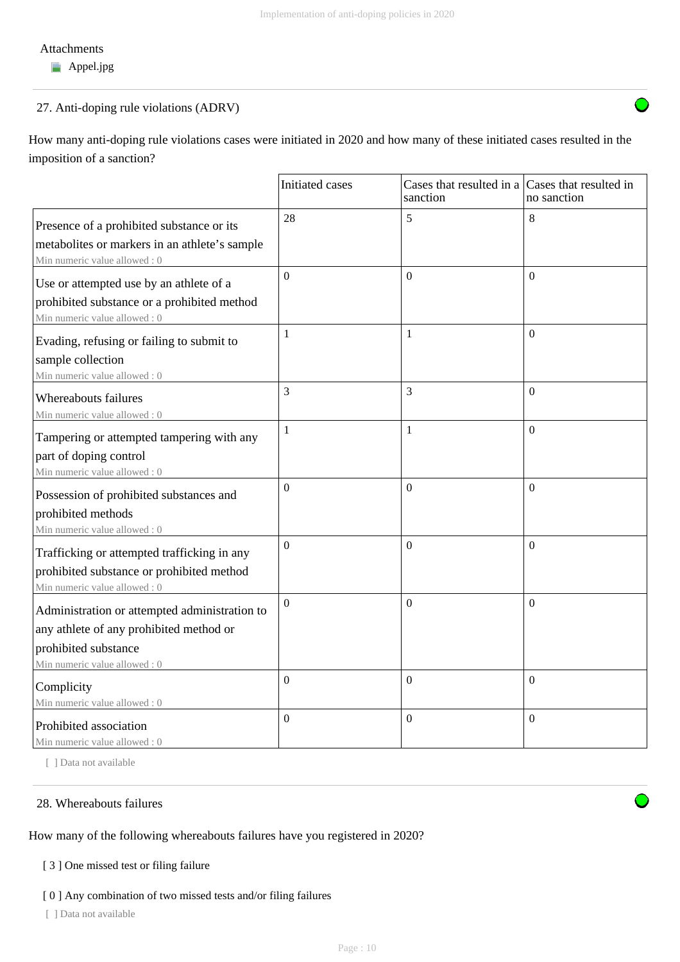## Attachments

**Appel.jpg** 

# 27. Anti-doping rule violations (ADRV)

How many anti-doping rule violations cases were initiated in 2020 and how many of these initiated cases resulted in the imposition of a sanction?

|                                                                                                                                                  | Initiated cases  | Cases that resulted in a Cases that resulted in<br>sanction | no sanction      |
|--------------------------------------------------------------------------------------------------------------------------------------------------|------------------|-------------------------------------------------------------|------------------|
| Presence of a prohibited substance or its<br>metabolites or markers in an athlete's sample<br>Min numeric value allowed: 0                       | 28               | 5                                                           | 8                |
| Use or attempted use by an athlete of a<br>prohibited substance or a prohibited method<br>Min numeric value allowed: 0                           | $\overline{0}$   | $\overline{0}$                                              | $\theta$         |
| Evading, refusing or failing to submit to<br>sample collection<br>Min numeric value allowed : 0                                                  | $\mathbf{1}$     | $\mathbf{1}$                                                | $\overline{0}$   |
| Whereabouts failures<br>Min numeric value allowed: 0                                                                                             | 3                | 3                                                           | $\boldsymbol{0}$ |
| Tampering or attempted tampering with any<br>part of doping control<br>Min numeric value allowed: 0                                              | 1                | $\mathbf{1}$                                                | $\overline{0}$   |
| Possession of prohibited substances and<br>prohibited methods<br>Min numeric value allowed: 0                                                    | $\overline{0}$   | $\overline{0}$                                              | $\overline{0}$   |
| Trafficking or attempted trafficking in any<br>prohibited substance or prohibited method<br>Min numeric value allowed: 0                         | $\overline{0}$   | $\Omega$                                                    | $\overline{0}$   |
| Administration or attempted administration to<br>any athlete of any prohibited method or<br>prohibited substance<br>Min numeric value allowed: 0 | $\overline{0}$   | $\overline{0}$                                              | $\overline{0}$   |
| Complicity<br>Min numeric value allowed: 0                                                                                                       | $\boldsymbol{0}$ | $\mathbf{0}$                                                | $\boldsymbol{0}$ |
| Prohibited association<br>Min numeric value allowed: 0                                                                                           | $\overline{0}$   | $\mathbf{0}$                                                | $\boldsymbol{0}$ |

[ ] Data not available

# 28. Whereabouts failures

How many of the following whereabouts failures have you registered in 2020?

# [ 3 ] One missed test or filing failure

## [ 0 ] Any combination of two missed tests and/or filing failures

[ ] Data not available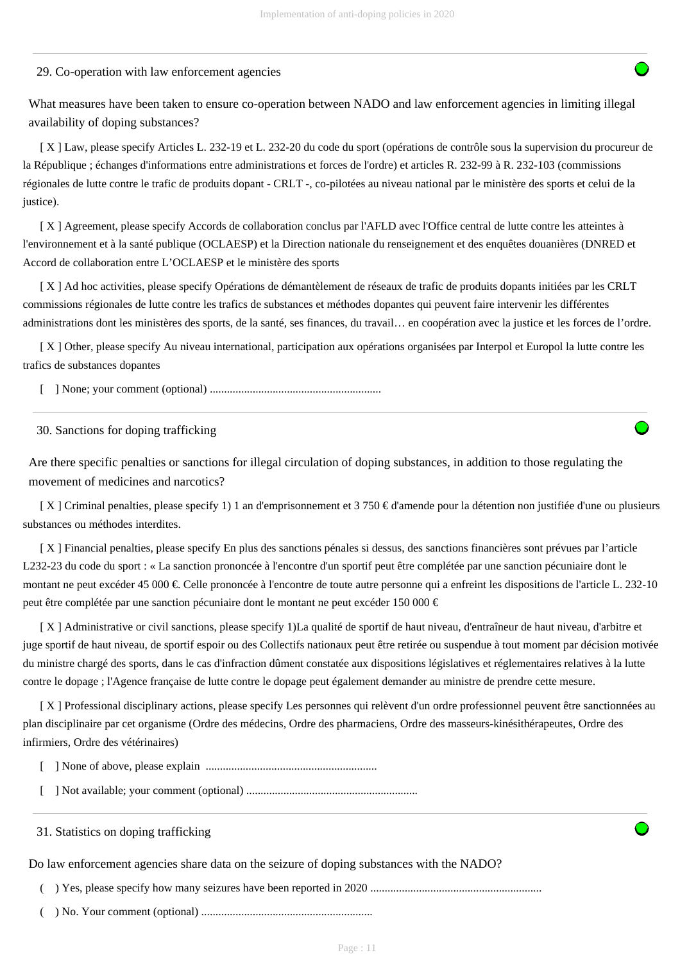#### 29. Co-operation with law enforcement agencies

What measures have been taken to ensure co-operation between NADO and law enforcement agencies in limiting illegal availability of doping substances?

 [ X ] Law, please specify Articles L. 232-19 et L. 232-20 du code du sport (opérations de contrôle sous la supervision du procureur de la République ; échanges d'informations entre administrations et forces de l'ordre) et articles R. 232-99 à R. 232-103 (commissions régionales de lutte contre le trafic de produits dopant - CRLT -, co-pilotées au niveau national par le ministère des sports et celui de la justice).

 [ X ] Agreement, please specify Accords de collaboration conclus par l'AFLD avec l'Office central de lutte contre les atteintes à l'environnement et à la santé publique (OCLAESP) et la Direction nationale du renseignement et des enquêtes douanières (DNRED et Accord de collaboration entre L'OCLAESP et le ministère des sports

 [ X ] Ad hoc activities, please specify Opérations de démantèlement de réseaux de trafic de produits dopants initiées par les CRLT commissions régionales de lutte contre les trafics de substances et méthodes dopantes qui peuvent faire intervenir les différentes administrations dont les ministères des sports, de la santé, ses finances, du travail… en coopération avec la justice et les forces de l'ordre.

 [ X ] Other, please specify Au niveau international, participation aux opérations organisées par Interpol et Europol la lutte contre les trafics de substances dopantes

[ ] None; your comment (optional) ............................................................

#### 30. Sanctions for doping trafficking

Are there specific penalties or sanctions for illegal circulation of doping substances, in addition to those regulating the movement of medicines and narcotics?

 [ X ] Criminal penalties, please specify 1) 1 an d'emprisonnement et 3 750 € d'amende pour la détention non justifiée d'une ou plusieurs substances ou méthodes interdites.

 [ X ] Financial penalties, please specify En plus des sanctions pénales si dessus, des sanctions financières sont prévues par l'article L232-23 du code du sport : « La sanction prononcée à l'encontre d'un sportif peut être complétée par une sanction pécuniaire dont le montant ne peut excéder 45 000 €. Celle prononcée à l'encontre de toute autre personne qui a enfreint les dispositions de l'article L. 232-10 peut être complétée par une sanction pécuniaire dont le montant ne peut excéder 150 000 €

 [ X ] Administrative or civil sanctions, please specify 1)La qualité de sportif de haut niveau, d'entraîneur de haut niveau, d'arbitre et juge sportif de haut niveau, de sportif espoir ou des Collectifs nationaux peut être retirée ou suspendue à tout moment par décision motivée du ministre chargé des sports, dans le cas d'infraction dûment constatée aux dispositions législatives et réglementaires relatives à la lutte contre le dopage ; l'Agence française de lutte contre le dopage peut également demander au ministre de prendre cette mesure.

 [ X ] Professional disciplinary actions, please specify Les personnes qui relèvent d'un ordre professionnel peuvent être sanctionnées au plan disciplinaire par cet organisme (Ordre des médecins, Ordre des pharmaciens, Ordre des masseurs-kinésithérapeutes, Ordre des infirmiers, Ordre des vétérinaires)

[ ] None of above, please explain ............................................................

[ ] Not available; your comment (optional) ............................................................

31. Statistics on doping trafficking

Do law enforcement agencies share data on the seizure of doping substances with the NADO?

( ) Yes, please specify how many seizures have been reported in 2020 ............................................................

( ) No. Your comment (optional) ............................................................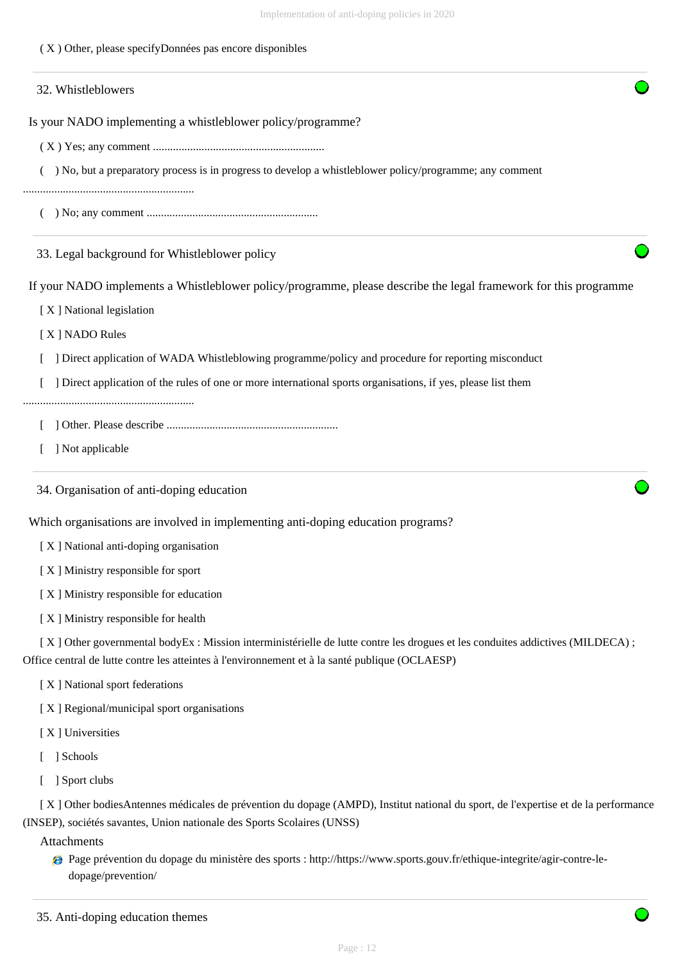( X ) Other, please specifyDonnées pas encore disponibles

# Is your NADO implementing a whistleblower policy/programme? ( X ) Yes; any comment ............................................................ ( ) No, but a preparatory process is in progress to develop a whistleblower policy/programme; any comment ............................................................ ( ) No; any comment ............................................................ If your NADO implements a Whistleblower policy/programme, please describe the legal framework for this programme [ X ] National legislation [ X ] NADO Rules [ ] Direct application of WADA Whistleblowing programme/policy and procedure for reporting misconduct [ ] Direct application of the rules of one or more international sports organisations, if yes, please list them ............................................................ [ ] Other. Please describe ............................................................ [ ] Not applicable Which organisations are involved in implementing anti-doping education programs? [ X ] National anti-doping organisation [X] Ministry responsible for sport [ X ] Ministry responsible for education [ X ] Ministry responsible for health [ X ] Other governmental bodyEx : Mission interministérielle de lutte contre les drogues et les conduites addictives (MILDECA) ; Office central de lutte contre les atteintes à l'environnement et à la santé publique (OCLAESP) [ X ] National sport federations [X] Regional/municipal sport organisations [ X ] Universities 32. Whistleblowers 33. Legal background for Whistleblower policy 34. Organisation of anti-doping education

- [ ] Schools
- [ ] Sport clubs

 [ X ] Other bodiesAntennes médicales de prévention du dopage (AMPD), Institut national du sport, de l'expertise et de la performance (INSEP), sociétés savantes, Union nationale des Sports Scolaires (UNSS)

Attachments

Page prévention du dopage du ministère des sports : http://https://www.sports.gouv.fr/ethique-integrite/agir-contre-ledopage/prevention/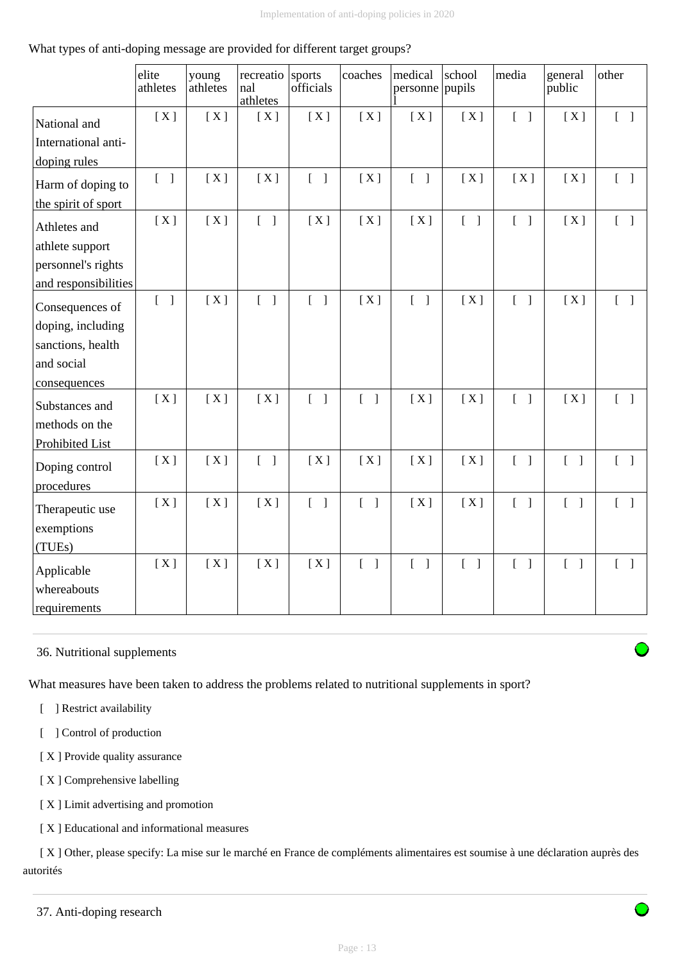# What types of anti-doping message are provided for different target groups?

|                      | elite<br>athletes                 | young<br>athletes | recreatio<br>nal<br>athletes      | sports<br>officials               | coaches                           | medical<br>personne               | school<br>pupils                  | media                             | general<br>public                 | other                             |
|----------------------|-----------------------------------|-------------------|-----------------------------------|-----------------------------------|-----------------------------------|-----------------------------------|-----------------------------------|-----------------------------------|-----------------------------------|-----------------------------------|
| National and         | [X]                               | [X]               | [X]                               | [X]                               | [X]                               | [X]                               | [X]                               | $\begin{bmatrix} 1 \end{bmatrix}$ | [X]                               | $\begin{bmatrix} 1 \end{bmatrix}$ |
| International anti-  |                                   |                   |                                   |                                   |                                   |                                   |                                   |                                   |                                   |                                   |
| doping rules         |                                   |                   |                                   |                                   |                                   |                                   |                                   |                                   |                                   |                                   |
| Harm of doping to    | $\begin{bmatrix} 1 \end{bmatrix}$ | [X]               | [X]                               | $\begin{bmatrix} 1 \end{bmatrix}$ | [X]                               | $\begin{bmatrix} 1 \end{bmatrix}$ | [X]                               | [X]                               | [X]                               | $[\ ]$                            |
| the spirit of sport  |                                   |                   |                                   |                                   |                                   |                                   |                                   |                                   |                                   |                                   |
| Athletes and         | [X]                               | [X]               | $\begin{bmatrix} 1 \end{bmatrix}$ | [X]                               | [X]                               | [X]                               | $\begin{bmatrix} 1 \end{bmatrix}$ | $\begin{bmatrix} 1 \end{bmatrix}$ | [X]                               | $\begin{bmatrix} 1 \end{bmatrix}$ |
| athlete support      |                                   |                   |                                   |                                   |                                   |                                   |                                   |                                   |                                   |                                   |
| personnel's rights   |                                   |                   |                                   |                                   |                                   |                                   |                                   |                                   |                                   |                                   |
| and responsibilities |                                   |                   |                                   |                                   |                                   |                                   |                                   |                                   |                                   |                                   |
| Consequences of      | $[ \ ]$                           | [X]               | $\begin{bmatrix} 1 \end{bmatrix}$ | $\begin{bmatrix} 1 \end{bmatrix}$ | [X]                               | $\begin{bmatrix} 1 \end{bmatrix}$ | [X]                               | $\begin{bmatrix} 1 \end{bmatrix}$ | [X]                               | $\begin{bmatrix} 1 \end{bmatrix}$ |
| doping, including    |                                   |                   |                                   |                                   |                                   |                                   |                                   |                                   |                                   |                                   |
| sanctions, health    |                                   |                   |                                   |                                   |                                   |                                   |                                   |                                   |                                   |                                   |
| and social           |                                   |                   |                                   |                                   |                                   |                                   |                                   |                                   |                                   |                                   |
| consequences         |                                   |                   |                                   |                                   |                                   |                                   |                                   |                                   |                                   |                                   |
| Substances and       | [X]                               | [X]               | [X]                               | $[ \ ]$                           | $\begin{bmatrix} 1 \end{bmatrix}$ | [X]                               | [X]                               | $\begin{bmatrix} 1 \end{bmatrix}$ | [X]                               | $\begin{bmatrix} 1 \end{bmatrix}$ |
| methods on the       |                                   |                   |                                   |                                   |                                   |                                   |                                   |                                   |                                   |                                   |
| Prohibited List      |                                   |                   |                                   |                                   |                                   |                                   |                                   |                                   |                                   |                                   |
| Doping control       | [X]                               | [X]               | $\begin{bmatrix} 1 \end{bmatrix}$ | [X]                               | [X]                               | [X]                               | [X]                               | $\begin{bmatrix} 1 \end{bmatrix}$ | $\begin{bmatrix} 1 \end{bmatrix}$ | $\begin{bmatrix} 1 \end{bmatrix}$ |
| procedures           |                                   |                   |                                   |                                   |                                   |                                   |                                   |                                   |                                   |                                   |
| Therapeutic use      | [X]                               | [X]               | [X]                               | $[ \ ]$                           | $\begin{bmatrix} 1 \end{bmatrix}$ | [X]                               | [X]                               | $\begin{bmatrix} 1 \end{bmatrix}$ | $\begin{bmatrix} 1 \end{bmatrix}$ | $\begin{bmatrix} 1 \end{bmatrix}$ |
| exemptions           |                                   |                   |                                   |                                   |                                   |                                   |                                   |                                   |                                   |                                   |
| (TUEs)               |                                   |                   |                                   |                                   |                                   |                                   |                                   |                                   |                                   |                                   |
| Applicable           | [X]                               | [X]               | [X]                               | [X]                               | $\begin{bmatrix} 1 \end{bmatrix}$ | $\begin{bmatrix} 1 \end{bmatrix}$ | $\begin{bmatrix} 1 \end{bmatrix}$ | $\begin{bmatrix} 1 \end{bmatrix}$ | $\begin{bmatrix} 1 \end{bmatrix}$ | $\begin{bmatrix} 1 \end{bmatrix}$ |
| whereabouts          |                                   |                   |                                   |                                   |                                   |                                   |                                   |                                   |                                   |                                   |
| requirements         |                                   |                   |                                   |                                   |                                   |                                   |                                   |                                   |                                   |                                   |

# 36. Nutritional supplements

What measures have been taken to address the problems related to nutritional supplements in sport?

[ ] Restrict availability

[ ] Control of production

[X] Provide quality assurance

- [X] Comprehensive labelling
- [ X ] Limit advertising and promotion

[ X ] Educational and informational measures

 [ X ] Other, please specify: La mise sur le marché en France de compléments alimentaires est soumise à une déclaration auprès des autorités